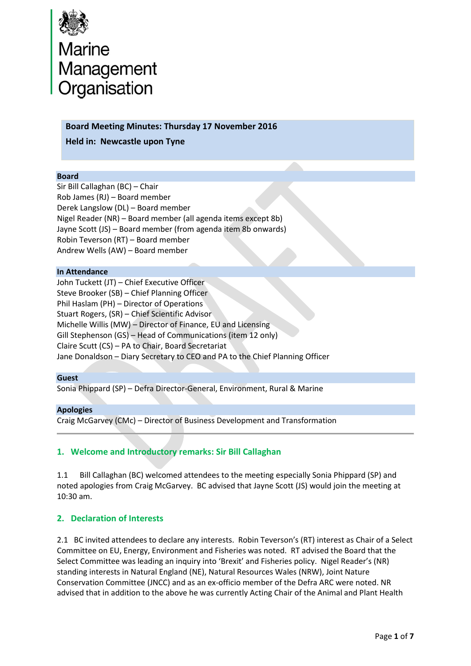

# Marine<br>Management<br>Organisation

## **Board Meeting Minutes: Thursday 17 November 2016**

**Held in: Newcastle upon Tyne**

#### **Board**

Sir Bill Callaghan (BC) – Chair Rob James (RJ) – Board member Derek Langslow (DL) – Board member Nigel Reader (NR) – Board member (all agenda items except 8b) Jayne Scott (JS) – Board member (from agenda item 8b onwards) Robin Teverson (RT) – Board member Andrew Wells (AW) – Board member

#### **In Attendance**

John Tuckett (JT) – Chief Executive Officer Steve Brooker (SB) – Chief Planning Officer Phil Haslam (PH) – Director of Operations Stuart Rogers, (SR) – Chief Scientific Advisor Michelle Willis (MW) – Director of Finance, EU and Licensing Gill Stephenson (GS) – Head of Communications (item 12 only) Claire Scutt (CS) – PA to Chair, Board Secretariat Jane Donaldson – Diary Secretary to CEO and PA to the Chief Planning Officer

#### **Guest**

Sonia Phippard (SP) – Defra Director-General, Environment, Rural & Marine

#### **Apologies**

Craig McGarvey (CMc) – Director of Business Development and Transformation

# **1. Welcome and Introductory remarks: Sir Bill Callaghan**

1.1 Bill Callaghan (BC) welcomed attendees to the meeting especially Sonia Phippard (SP) and noted apologies from Craig McGarvey. BC advised that Jayne Scott (JS) would join the meeting at 10:30 am.

# **2. Declaration of Interests**

2.1 BC invited attendees to declare any interests. Robin Teverson's (RT) interest as Chair of a Select Committee on EU, Energy, Environment and Fisheries was noted. RT advised the Board that the Select Committee was leading an inquiry into 'Brexit' and Fisheries policy. Nigel Reader's (NR) standing interests in Natural England (NE), Natural Resources Wales (NRW), Joint Nature Conservation Committee (JNCC) and as an ex-officio member of the Defra ARC were noted. NR advised that in addition to the above he was currently Acting Chair of the Animal and Plant Health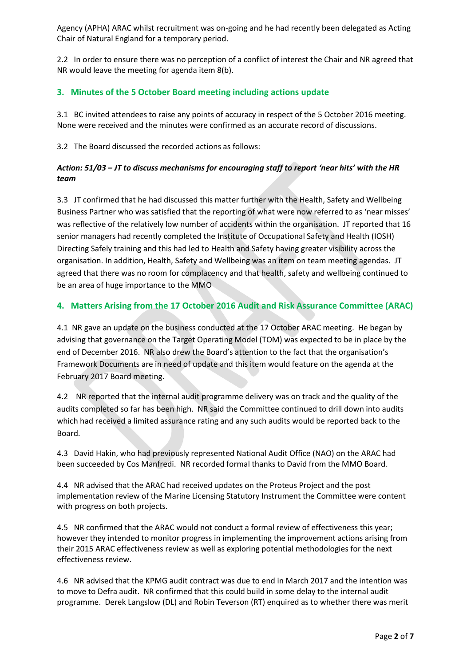Agency (APHA) ARAC whilst recruitment was on-going and he had recently been delegated as Acting Chair of Natural England for a temporary period.

2.2 In order to ensure there was no perception of a conflict of interest the Chair and NR agreed that NR would leave the meeting for agenda item 8(b).

# **3. Minutes of the 5 October Board meeting including actions update**

3.1 BC invited attendees to raise any points of accuracy in respect of the 5 October 2016 meeting. None were received and the minutes were confirmed as an accurate record of discussions.

3.2 The Board discussed the recorded actions as follows:

# *Action: 51/03 – JT to discuss mechanisms for encouraging staff to report 'near hits' with the HR team*

3.3JT confirmed that he had discussed this matter further with the Health, Safety and Wellbeing Business Partner who was satisfied that the reporting of what were now referred to as 'near misses' was reflective of the relatively low number of accidents within the organisation. JT reported that 16 senior managers had recently completed the Institute of Occupational Safety and Health (IOSH) Directing Safely training and this had led to Health and Safety having greater visibility across the organisation. In addition, Health, Safety and Wellbeing was an item on team meeting agendas. JT agreed that there was no room for complacency and that health, safety and wellbeing continued to be an area of huge importance to the MMO

# **4. Matters Arising from the 17 October 2016 Audit and Risk Assurance Committee (ARAC)**

4.1 NR gave an update on the business conducted at the 17 October ARAC meeting. He began by advising that governance on the Target Operating Model (TOM) was expected to be in place by the end of December 2016. NR also drew the Board's attention to the fact that the organisation's Framework Documents are in need of update and this item would feature on the agenda at the February 2017 Board meeting.

4.2 NR reported that the internal audit programme delivery was on track and the quality of the audits completed so far has been high. NR said the Committee continued to drill down into audits which had received a limited assurance rating and any such audits would be reported back to the Board.

4.3 David Hakin, who had previously represented National Audit Office (NAO) on the ARAC had been succeeded by Cos Manfredi. NR recorded formal thanks to David from the MMO Board.

4.4 NR advised that the ARAC had received updates on the Proteus Project and the post implementation review of the Marine Licensing Statutory Instrument the Committee were content with progress on both projects.

4.5 NR confirmed that the ARAC would not conduct a formal review of effectiveness this year; however they intended to monitor progress in implementing the improvement actions arising from their 2015 ARAC effectiveness review as well as exploring potential methodologies for the next effectiveness review.

4.6 NR advised that the KPMG audit contract was due to end in March 2017 and the intention was to move to Defra audit. NR confirmed that this could build in some delay to the internal audit programme. Derek Langslow (DL) and Robin Teverson (RT) enquired as to whether there was merit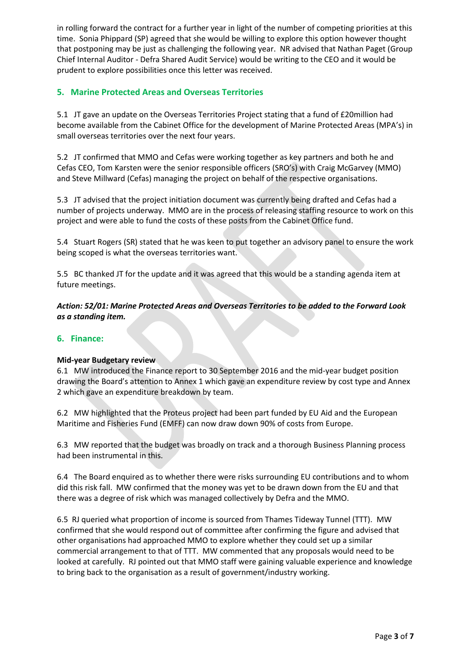in rolling forward the contract for a further year in light of the number of competing priorities at this time. Sonia Phippard (SP) agreed that she would be willing to explore this option however thought that postponing may be just as challenging the following year. NR advised that Nathan Paget (Group Chief Internal Auditor - Defra Shared Audit Service) would be writing to the CEO and it would be prudent to explore possibilities once this letter was received.

# **5. Marine Protected Areas and Overseas Territories**

5.1 JT gave an update on the Overseas Territories Project stating that a fund of £20million had become available from the Cabinet Office for the development of Marine Protected Areas (MPA's) in small overseas territories over the next four years.

5.2 JT confirmed that MMO and Cefas were working together as key partners and both he and Cefas CEO, Tom Karsten were the senior responsible officers (SRO's) with Craig McGarvey (MMO) and Steve Millward (Cefas) managing the project on behalf of the respective organisations.

5.3 JT advised that the project initiation document was currently being drafted and Cefas had a number of projects underway. MMO are in the process of releasing staffing resource to work on this project and were able to fund the costs of these posts from the Cabinet Office fund.

5.4 Stuart Rogers (SR) stated that he was keen to put together an advisory panel to ensure the work being scoped is what the overseas territories want.

5.5 BC thanked JT for the update and it was agreed that this would be a standing agenda item at future meetings.

*Action: 52/01: Marine Protected Areas and Overseas Territories to be added to the Forward Look as a standing item.*

#### **6. Finance:**

#### **Mid-year Budgetary review**

6.1 MW introduced the Finance report to 30 September 2016 and the mid-year budget position drawing the Board's attention to Annex 1 which gave an expenditure review by cost type and Annex 2 which gave an expenditure breakdown by team.

6.2 MW highlighted that the Proteus project had been part funded by EU Aid and the European Maritime and Fisheries Fund (EMFF) can now draw down 90% of costs from Europe.

6.3 MW reported that the budget was broadly on track and a thorough Business Planning process had been instrumental in this.

6.4 The Board enquired as to whether there were risks surrounding EU contributions and to whom did this risk fall. MW confirmed that the money was yet to be drawn down from the EU and that there was a degree of risk which was managed collectively by Defra and the MMO.

6.5 RJ queried what proportion of income is sourced from Thames Tideway Tunnel (TTT). MW confirmed that she would respond out of committee after confirming the figure and advised that other organisations had approached MMO to explore whether they could set up a similar commercial arrangement to that of TTT. MW commented that any proposals would need to be looked at carefully. RJ pointed out that MMO staff were gaining valuable experience and knowledge to bring back to the organisation as a result of government/industry working.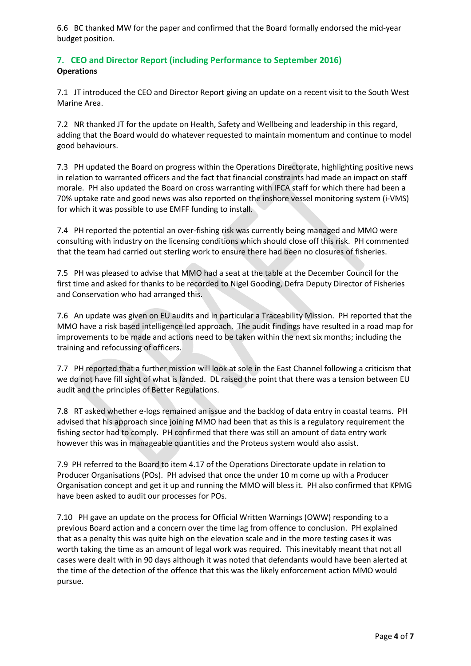6.6 BC thanked MW for the paper and confirmed that the Board formally endorsed the mid-year budget position.

# **7. CEO and Director Report (including Performance to September 2016) Operations**

7.1 JT introduced the CEO and Director Report giving an update on a recent visit to the South West Marine Area.

7.2 NR thanked JT for the update on Health, Safety and Wellbeing and leadership in this regard, adding that the Board would do whatever requested to maintain momentum and continue to model good behaviours.

7.3 PH updated the Board on progress within the Operations Directorate, highlighting positive news in relation to warranted officers and the fact that financial constraints had made an impact on staff morale. PH also updated the Board on cross warranting with IFCA staff for which there had been a 70% uptake rate and good news was also reported on the inshore vessel monitoring system (i-VMS) for which it was possible to use EMFF funding to install.

7.4 PH reported the potential an over-fishing risk was currently being managed and MMO were consulting with industry on the licensing conditions which should close off this risk. PH commented that the team had carried out sterling work to ensure there had been no closures of fisheries.

7.5 PH was pleased to advise that MMO had a seat at the table at the December Council for the first time and asked for thanks to be recorded to Nigel Gooding, Defra Deputy Director of Fisheries and Conservation who had arranged this.

7.6 An update was given on EU audits and in particular a Traceability Mission. PH reported that the MMO have a risk based intelligence led approach. The audit findings have resulted in a road map for improvements to be made and actions need to be taken within the next six months; including the training and refocussing of officers.

7.7 PH reported that a further mission will look at sole in the East Channel following a criticism that we do not have fill sight of what is landed. DL raised the point that there was a tension between EU audit and the principles of Better Regulations.

7.8 RT asked whether e-logs remained an issue and the backlog of data entry in coastal teams. PH advised that his approach since joining MMO had been that as this is a regulatory requirement the fishing sector had to comply. PH confirmed that there was still an amount of data entry work however this was in manageable quantities and the Proteus system would also assist.

7.9 PH referred to the Board to item 4.17 of the Operations Directorate update in relation to Producer Organisations (POs). PH advised that once the under 10 m come up with a Producer Organisation concept and get it up and running the MMO will bless it. PH also confirmed that KPMG have been asked to audit our processes for POs.

7.10 PH gave an update on the process for Official Written Warnings (OWW) responding to a previous Board action and a concern over the time lag from offence to conclusion. PH explained that as a penalty this was quite high on the elevation scale and in the more testing cases it was worth taking the time as an amount of legal work was required. This inevitably meant that not all cases were dealt with in 90 days although it was noted that defendants would have been alerted at the time of the detection of the offence that this was the likely enforcement action MMO would pursue.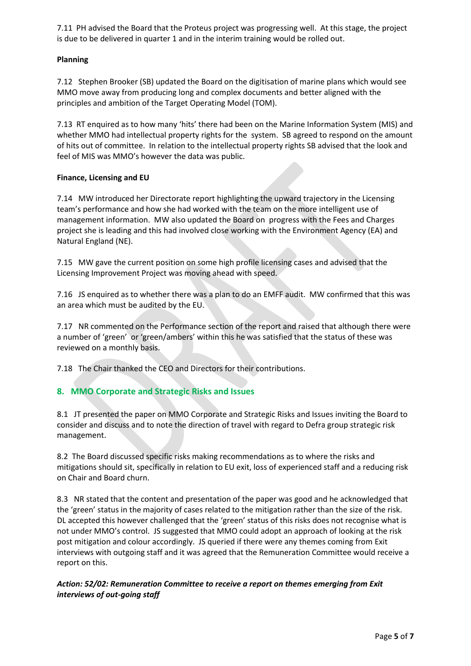7.11 PH advised the Board that the Proteus project was progressing well. At this stage, the project is due to be delivered in quarter 1 and in the interim training would be rolled out.

## **Planning**

7.12 Stephen Brooker (SB) updated the Board on the digitisation of marine plans which would see MMO move away from producing long and complex documents and better aligned with the principles and ambition of the Target Operating Model (TOM).

7.13 RT enquired as to how many 'hits' there had been on the Marine Information System (MIS) and whether MMO had intellectual property rights for the system. SB agreed to respond on the amount of hits out of committee. In relation to the intellectual property rights SB advised that the look and feel of MIS was MMO's however the data was public.

## **Finance, Licensing and EU**

7.14 MW introduced her Directorate report highlighting the upward trajectory in the Licensing team's performance and how she had worked with the team on the more intelligent use of management information. MW also updated the Board on progress with the Fees and Charges project she is leading and this had involved close working with the Environment Agency (EA) and Natural England (NE).

7.15 MW gave the current position on some high profile licensing cases and advised that the Licensing Improvement Project was moving ahead with speed.

7.16 JS enquired as to whether there was a plan to do an EMFF audit. MW confirmed that this was an area which must be audited by the EU.

7.17 NR commented on the Performance section of the report and raised that although there were a number of 'green' or 'green/ambers' within this he was satisfied that the status of these was reviewed on a monthly basis.

7.18 The Chair thanked the CEO and Directors for their contributions.

# **8. MMO Corporate and Strategic Risks and Issues**

8.1 JT presented the paper on MMO Corporate and Strategic Risks and Issues inviting the Board to consider and discuss and to note the direction of travel with regard to Defra group strategic risk management.

8.2 The Board discussed specific risks making recommendations as to where the risks and mitigations should sit, specifically in relation to EU exit, loss of experienced staff and a reducing risk on Chair and Board churn.

8.3 NR stated that the content and presentation of the paper was good and he acknowledged that the 'green' status in the majority of cases related to the mitigation rather than the size of the risk. DL accepted this however challenged that the 'green' status of this risks does not recognise what is not under MMO's control. JS suggested that MMO could adopt an approach of looking at the risk post mitigation and colour accordingly. JS queried if there were any themes coming from Exit interviews with outgoing staff and it was agreed that the Remuneration Committee would receive a report on this.

# *Action: 52/02: Remuneration Committee to receive a report on themes emerging from Exit interviews of out-going staff*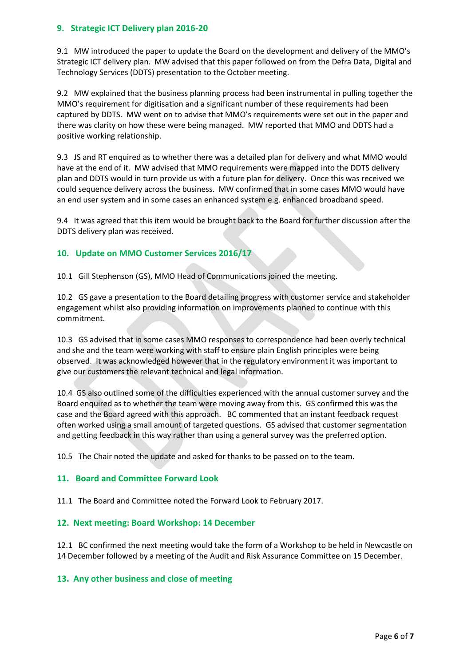## **9. Strategic ICT Delivery plan 2016-20**

9.1 MW introduced the paper to update the Board on the development and delivery of the MMO's Strategic ICT delivery plan. MW advised that this paper followed on from the Defra Data, Digital and Technology Services (DDTS) presentation to the October meeting.

9.2 MW explained that the business planning process had been instrumental in pulling together the MMO's requirement for digitisation and a significant number of these requirements had been captured by DDTS. MW went on to advise that MMO's requirements were set out in the paper and there was clarity on how these were being managed. MW reported that MMO and DDTS had a positive working relationship.

9.3 JS and RT enquired as to whether there was a detailed plan for delivery and what MMO would have at the end of it. MW advised that MMO requirements were mapped into the DDTS delivery plan and DDTS would in turn provide us with a future plan for delivery. Once this was received we could sequence delivery across the business. MW confirmed that in some cases MMO would have an end user system and in some cases an enhanced system e.g. enhanced broadband speed.

9.4 It was agreed that this item would be brought back to the Board for further discussion after the DDTS delivery plan was received.

## **10. Update on MMO Customer Services 2016/17**

10.1 Gill Stephenson (GS), MMO Head of Communications joined the meeting.

10.2 GS gave a presentation to the Board detailing progress with customer service and stakeholder engagement whilst also providing information on improvements planned to continue with this commitment.

10.3 GS advised that in some cases MMO responses to correspondence had been overly technical and she and the team were working with staff to ensure plain English principles were being observed. It was acknowledged however that in the regulatory environment it was important to give our customers the relevant technical and legal information.

10.4 GS also outlined some of the difficulties experienced with the annual customer survey and the Board enquired as to whether the team were moving away from this. GS confirmed this was the case and the Board agreed with this approach. BC commented that an instant feedback request often worked using a small amount of targeted questions. GS advised that customer segmentation and getting feedback in this way rather than using a general survey was the preferred option.

10.5 The Chair noted the update and asked for thanks to be passed on to the team.

#### **11. Board and Committee Forward Look**

11.1 The Board and Committee noted the Forward Look to February 2017.

#### **12. Next meeting: Board Workshop: 14 December**

12.1 BC confirmed the next meeting would take the form of a Workshop to be held in Newcastle on 14 December followed by a meeting of the Audit and Risk Assurance Committee on 15 December.

#### **13. Any other business and close of meeting**